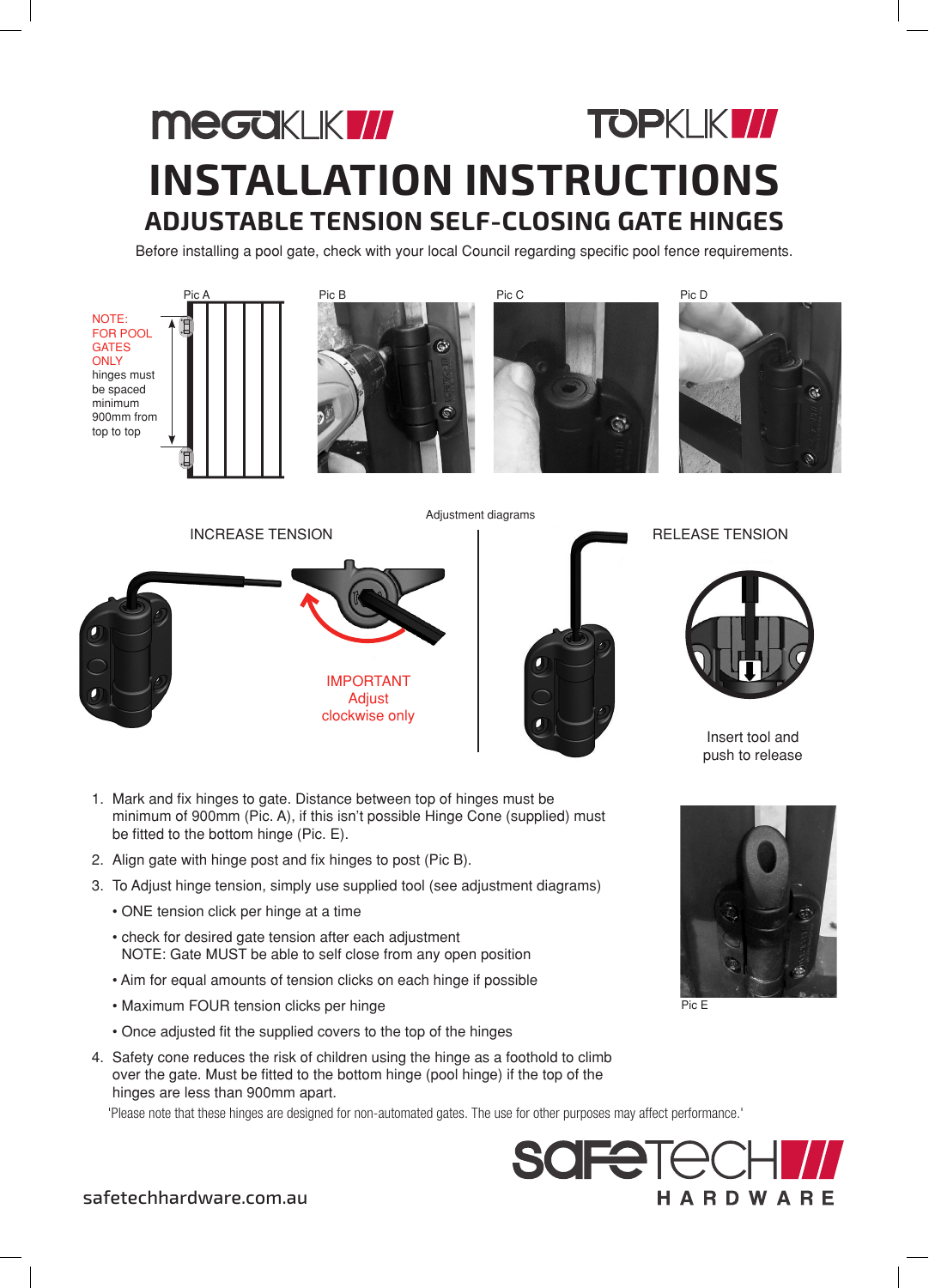## **MeGOKLKW TOPKLIKI// INSTALLATION INSTRUCTIONS ADJUSTABLE TENSION SELF-CLOSING GATE HINGES**

Before installing a pool gate, check with your local Council regarding specific pool fence requirements.

NOTE: FOR POOL **GATES ONLY** hinges must be spaced minimum 900mm from top to top







IMPORTANT Adjust clockwise only INCREASE TENSION INCREASE TENSION Adjustment diagrams



Insert tool and push to release



- 2. Align gate with hinge post and fix hinges to post (Pic B).
- 3. To Adjust hinge tension, simply use supplied tool (see adjustment diagrams)
	- ONE tension click per hinge at a time
	- check for desired gate tension after each adjustment NOTE: Gate MUST be able to self close from any open position
	- Aim for equal amounts of tension clicks on each hinge if possible
	- Maximum FOUR tension clicks per hinge
	- Once adjusted fit the supplied covers to the top of the hinges
- 4. Safety cone reduces the risk of children using the hinge as a foothold to climb over the gate. Must be fitted to the bottom hinge (pool hinge) if the top of the hinges are less than 900mm apart.

'Please note that these hinges are designed for non-automated gates. The use for other purposes may affect performance.'



Pic E

safetechhardware.com.au